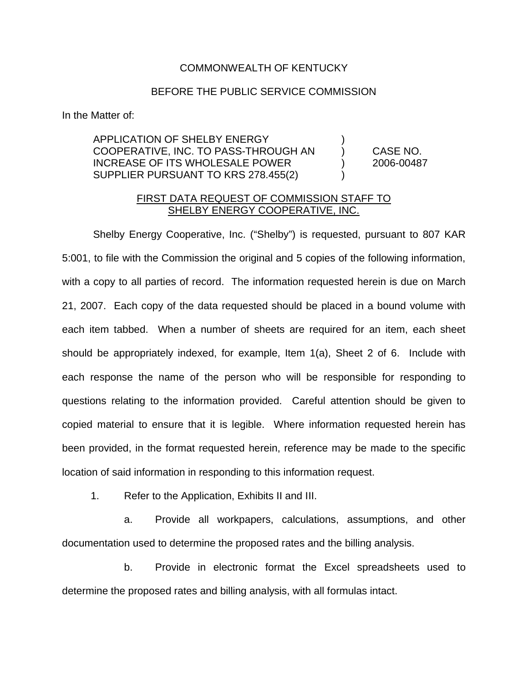## COMMONWEALTH OF KENTUCKY

## BEFORE THE PUBLIC SERVICE COMMISSION

In the Matter of:

APPLICATION OF SHELBY ENERGY COOPERATIVE, INC. TO PASS-THROUGH AN ) CASE NO. INCREASE OF ITS WHOLESALE POWER ) 2006-00487 SUPPLIER PURSUANT TO KRS 278.455(2)  $\qquad \qquad$ )

## FIRST DATA REQUEST OF COMMISSION STAFF TO SHELBY ENERGY COOPERATIVE, INC.

Shelby Energy Cooperative, Inc. ("Shelby") is requested, pursuant to 807 KAR 5:001, to file with the Commission the original and 5 copies of the following information, with a copy to all parties of record. The information requested herein is due on March 21, 2007. Each copy of the data requested should be placed in a bound volume with each item tabbed. When a number of sheets are required for an item, each sheet should be appropriately indexed, for example, Item 1(a), Sheet 2 of 6. Include with each response the name of the person who will be responsible for responding to questions relating to the information provided. Careful attention should be given to copied material to ensure that it is legible. Where information requested herein has been provided, in the format requested herein, reference may be made to the specific location of said information in responding to this information request.

1. Refer to the Application, Exhibits II and III.

a. Provide all workpapers, calculations, assumptions, and other documentation used to determine the proposed rates and the billing analysis.

b. Provide in electronic format the Excel spreadsheets used to determine the proposed rates and billing analysis, with all formulas intact.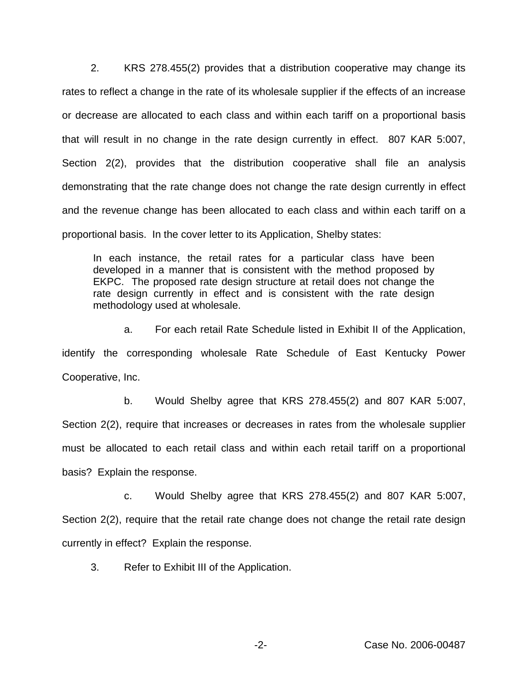2. KRS 278.455(2) provides that a distribution cooperative may change its rates to reflect a change in the rate of its wholesale supplier if the effects of an increase or decrease are allocated to each class and within each tariff on a proportional basis that will result in no change in the rate design currently in effect. 807 KAR 5:007, Section 2(2), provides that the distribution cooperative shall file an analysis demonstrating that the rate change does not change the rate design currently in effect and the revenue change has been allocated to each class and within each tariff on a proportional basis. In the cover letter to its Application, Shelby states:

In each instance, the retail rates for a particular class have been developed in a manner that is consistent with the method proposed by EKPC. The proposed rate design structure at retail does not change the rate design currently in effect and is consistent with the rate design methodology used at wholesale.

a. For each retail Rate Schedule listed in Exhibit II of the Application, identify the corresponding wholesale Rate Schedule of East Kentucky Power Cooperative, Inc.

b. Would Shelby agree that KRS 278.455(2) and 807 KAR 5:007, Section 2(2), require that increases or decreases in rates from the wholesale supplier must be allocated to each retail class and within each retail tariff on a proportional basis? Explain the response.

c. Would Shelby agree that KRS 278.455(2) and 807 KAR 5:007, Section 2(2), require that the retail rate change does not change the retail rate design currently in effect? Explain the response.

3. Refer to Exhibit III of the Application.